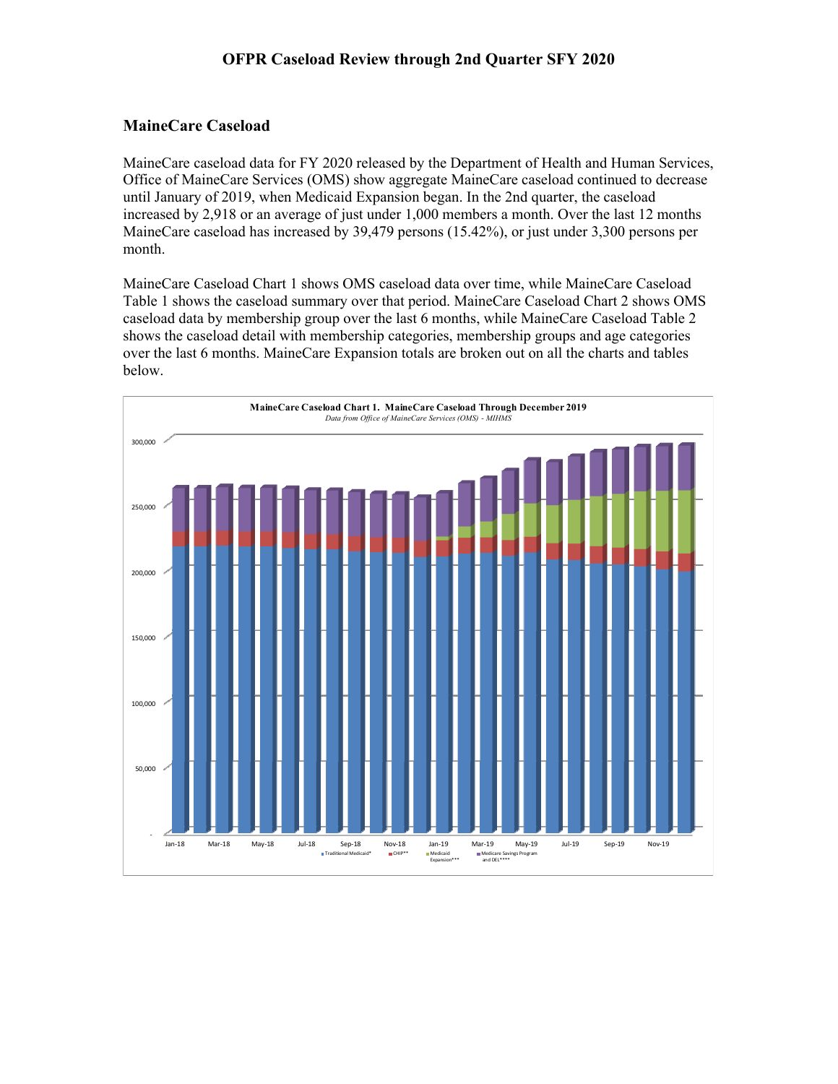### **MaineCare Caseload**

MaineCare caseload data for FY 2020 released by the Department of Health and Human Services, Office of MaineCare Services (OMS) show aggregate MaineCare caseload continued to decrease until January of 2019, when Medicaid Expansion began. In the 2nd quarter, the caseload increased by 2,918 or an average of just under 1,000 members a month. Over the last 12 months MaineCare caseload has increased by 39,479 persons (15.42%), or just under 3,300 persons per month.

MaineCare Caseload Chart 1 shows OMS caseload data over time, while MaineCare Caseload Table 1 shows the caseload summary over that period. MaineCare Caseload Chart 2 shows OMS caseload data by membership group over the last 6 months, while MaineCare Caseload Table 2 shows the caseload detail with membership categories, membership groups and age categories over the last 6 months. MaineCare Expansion totals are broken out on all the charts and tables below.

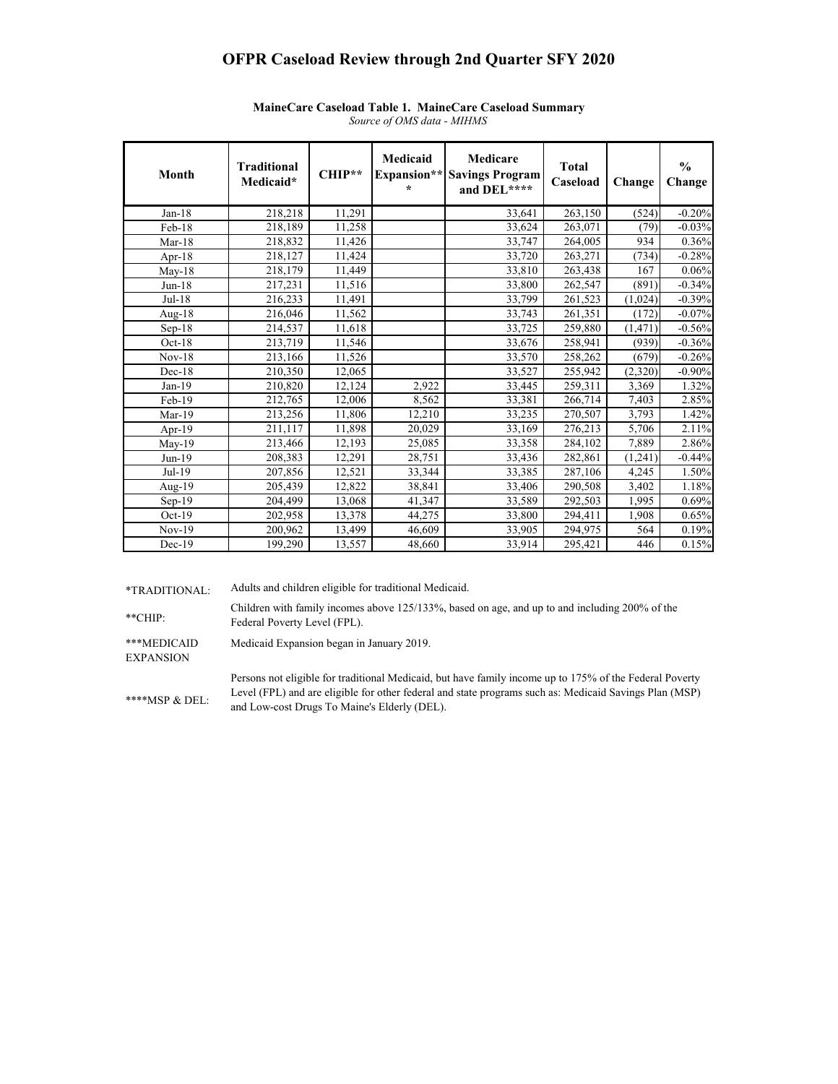# **OFPR Caseload Review through 2nd Quarter SFY 2020**

| Month    | <b>Traditional</b><br>Medicaid* | CHIP** | Medicaid<br>Expansion**<br>$\star$ | Medicare<br><b>Savings Program</b><br>and DEL**** | <b>Total</b><br>Caseload | Change   | $\frac{0}{0}$<br>Change |
|----------|---------------------------------|--------|------------------------------------|---------------------------------------------------|--------------------------|----------|-------------------------|
| $Jan-18$ | 218,218                         | 11,291 |                                    | 33,641                                            | 263,150                  | (524)    | $-0.20%$                |
| Feb-18   | 218,189                         | 11,258 |                                    | 33,624                                            | 263,071                  | (79)     | $-0.03%$                |
| $Mar-18$ | 218,832                         | 11,426 |                                    | 33,747                                            | 264,005                  | 934      | 0.36%                   |
| Apr-18   | 218,127                         | 11,424 |                                    | 33,720                                            | 263,271                  | (734)    | $-0.28%$                |
| $May-18$ | 218,179                         | 11,449 |                                    | 33,810                                            | 263,438                  | 167      | 0.06%                   |
| $Jun-18$ | 217,231                         | 11,516 |                                    | 33,800                                            | 262,547                  | (891)    | $-0.34%$                |
| $Jul-18$ | 216,233                         | 11,491 |                                    | 33,799                                            | 261,523                  | (1,024)  | $-0.39%$                |
| Aug-18   | 216,046                         | 11,562 |                                    | 33,743                                            | 261,351                  | (172)    | $-0.07\%$               |
| $Sep-18$ | 214,537                         | 11,618 |                                    | 33,725                                            | 259,880                  | (1, 471) | $-0.56%$                |
| $Oct-18$ | 213,719                         | 11,546 |                                    | 33,676                                            | 258,941                  | (939)    | $-0.36%$                |
| $Nov-18$ | 213,166                         | 11,526 |                                    | 33,570                                            | 258,262                  | (679)    | $-0.26%$                |
| $Dec-18$ | 210,350                         | 12,065 |                                    | 33,527                                            | 255,942                  | (2,320)  | $-0.90%$                |
| $Jan-19$ | 210,820                         | 12,124 | 2,922                              | 33,445                                            | 259,311                  | 3,369    | 1.32%                   |
| Feb-19   | 212,765                         | 12,006 | 8,562                              | 33,381                                            | 266,714                  | 7,403    | 2.85%                   |
| $Mar-19$ | 213,256                         | 11,806 | 12,210                             | 33,235                                            | 270,507                  | 3,793    | 1.42%                   |
| Apr-19   | 211,117                         | 11,898 | 20,029                             | 33,169                                            | 276,213                  | 5,706    | 2.11%                   |
| May-19   | 213,466                         | 12,193 | 25,085                             | 33,358                                            | 284,102                  | 7,889    | 2.86%                   |
| $Jun-19$ | 208,383                         | 12,291 | 28,751                             | 33,436                                            | 282,861                  | (1,241)  | $-0.44%$                |
| Jul-19   | 207,856                         | 12,521 | 33,344                             | 33,385                                            | 287,106                  | 4,245    | 1.50%                   |
| Aug-19   | 205,439                         | 12,822 | 38,841                             | 33,406                                            | 290,508                  | 3,402    | 1.18%                   |
| $Sep-19$ | 204,499                         | 13,068 | 41,347                             | 33,589                                            | 292,503                  | 1,995    | 0.69%                   |
| $Oct-19$ | 202,958                         | 13,378 | 44,275                             | 33,800                                            | 294,411                  | 1,908    | 0.65%                   |
| $Nov-19$ | 200,962                         | 13,499 | 46,609                             | 33,905                                            | 294,975                  | 564      | 0.19%                   |
| $Dec-19$ | 199,290                         | 13,557 | 48,660                             | 33,914                                            | 295,421                  | 446      | 0.15%                   |

#### *Source of OMS data - MIHMS* **MaineCare Caseload Table 1. MaineCare Caseload Summary**

\*TRADITIONAL: Adults and children eligible for traditional Medicaid.

\*\*CHIP: Children with family incomes above 125/133%, based on age, and up to and including 200% of the Federal Poverty Level (FPL).

\*\*\*MEDICAID Medicaid Expansion began in January 2019.

EXPANSION

\*\*\*\*MSP & DEL: Persons not eligible for traditional Medicaid, but have family income up to 175% of the Federal Poverty Level (FPL) and are eligible for other federal and state programs such as: Medicaid Savings Plan (MSP) and Low-cost Drugs To Maine's Elderly (DEL).